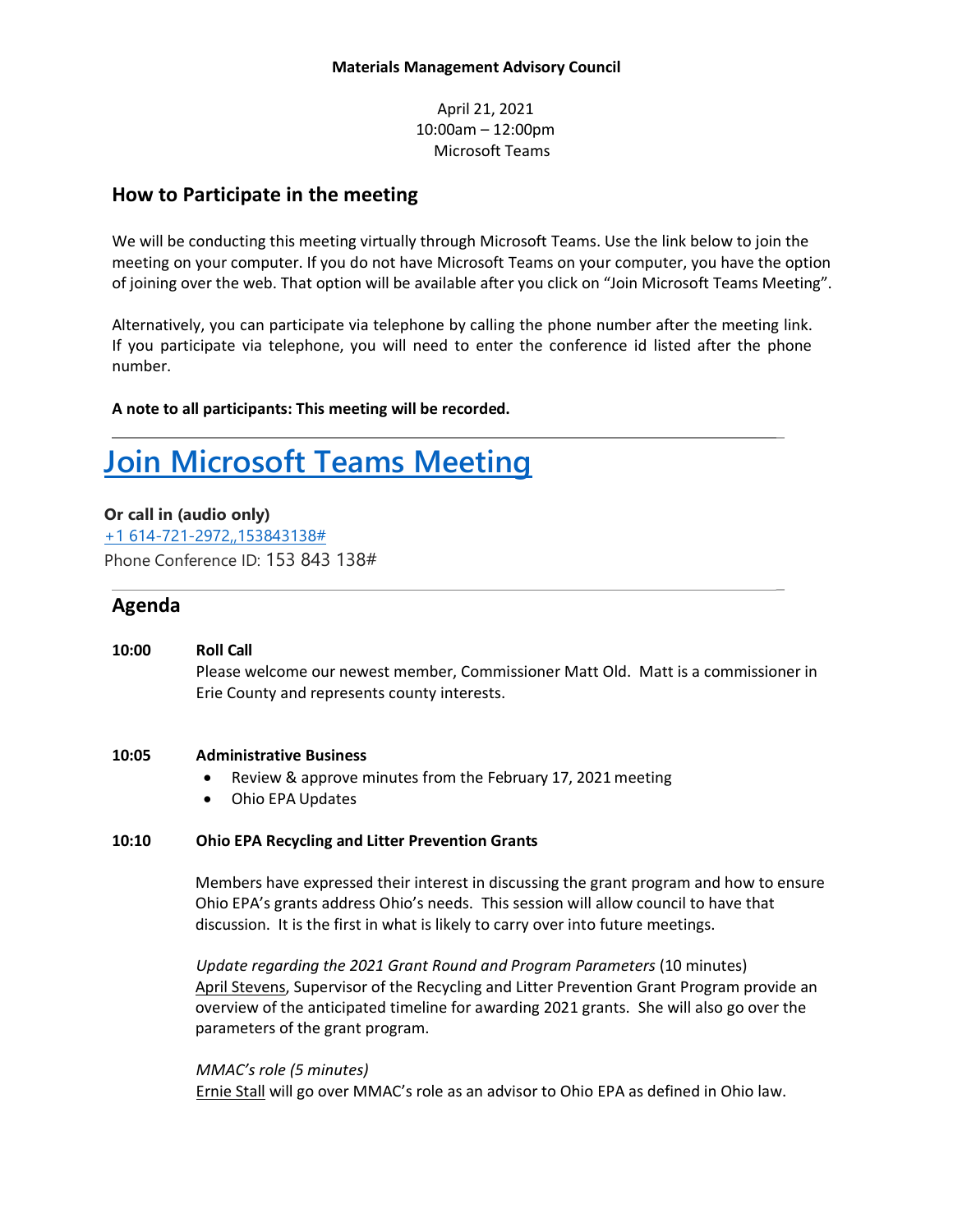April 21, 2021 10:00am – 12:00pm Microsoft Teams

### **How to Participate in the meeting**

We will be conducting this meeting virtually through Microsoft Teams. Use the link below to join the meeting on your computer. If you do not have Microsoft Teams on your computer, you have the option of joining over the web. That option will be available after you click on "Join Microsoft Teams Meeting".

Alternatively, you can participate via telephone by calling the phone number after the meeting link. If you participate via telephone, you will need to enter the conference id listed after the phone number.

\_

 $\overline{a}$ 

**A note to all participants: This meeting will be recorded.**

# **[Join Microsoft Teams Meeting](https://teams.microsoft.com/l/meetup-join/19%3ameeting_N2E4YmFkM2ItZDJmOS00M2Q4LTliMjktZWIzOTA2ZDFjNTNm%40thread.v2/0?context=%7b%22Tid%22%3a%2250f8fcc4-94d8-4f07-84eb-36ed57c7c8a2%22%2c%22Oid%22%3a%226b71c317-f917-42f5-baba-e867f3cbd726%22%7d)**

**Or call in (audio only)**

[+1 614-721-2972,,153843138#](tel:+16147212972,,153843138) Phone Conference ID: 153 843 138#

## **Agenda**

**10:00 Roll Call**  Please welcome our newest member, Commissioner Matt Old. Matt is a commissioner in Erie County and represents county interests.

#### **10:05 Administrative Business**

- Review & approve minutes from the February 17, 2021meeting
- Ohio EPA Updates

#### **10:10 Ohio EPA Recycling and Litter Prevention Grants**

Members have expressed their interest in discussing the grant program and how to ensure Ohio EPA's grants address Ohio's needs. This session will allow council to have that discussion. It is the first in what is likely to carry over into future meetings.

*Update regarding the 2021 Grant Round and Program Parameters* (10 minutes) April Stevens, Supervisor of the Recycling and Litter Prevention Grant Program provide an overview of the anticipated timeline for awarding 2021 grants. She will also go over the parameters of the grant program.

*MMAC's role (5 minutes)* Ernie Stall will go over MMAC's role as an advisor to Ohio EPA as defined in Ohio law.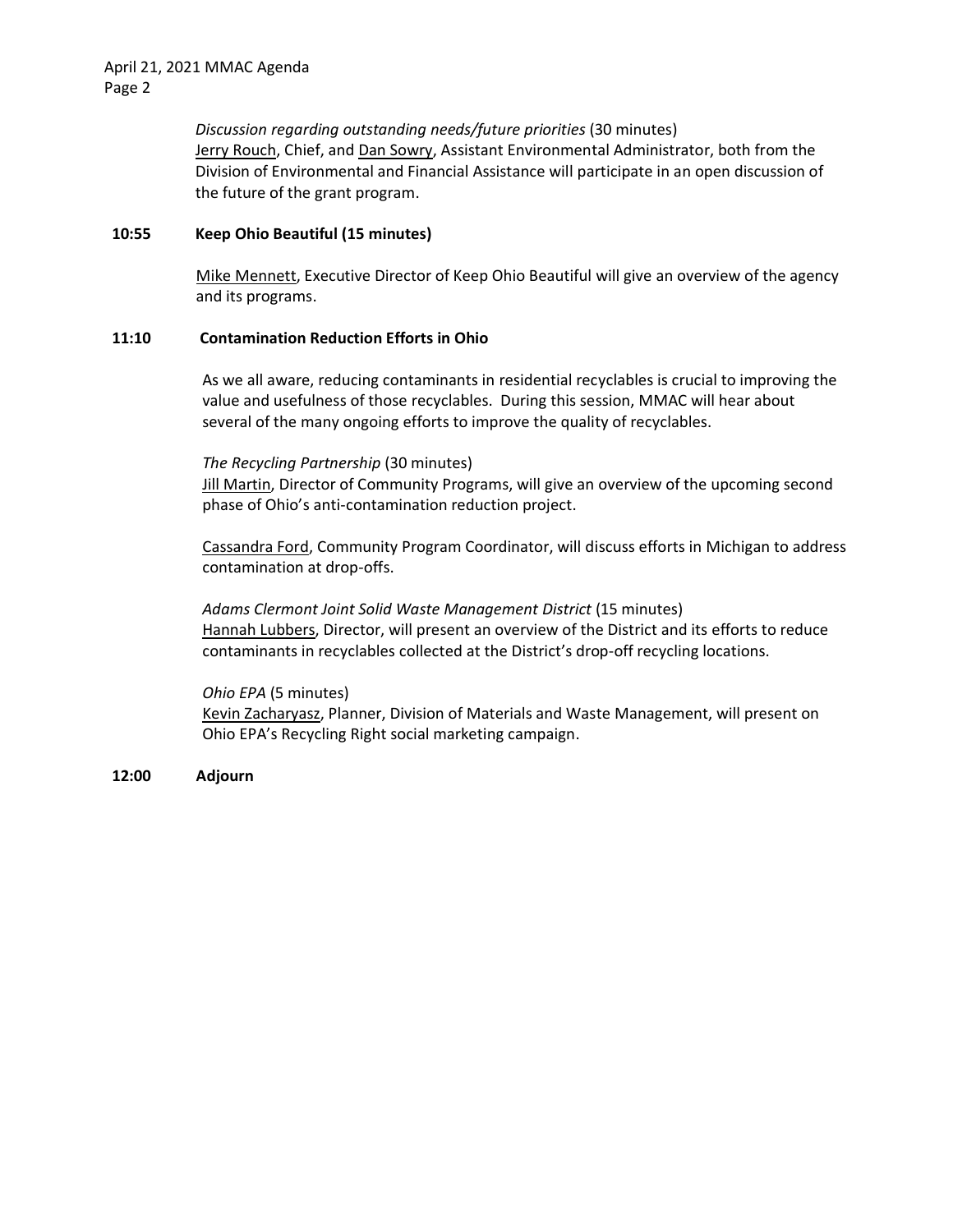*Discussion regarding outstanding needs/future priorities* (30 minutes) Jerry Rouch, Chief, and Dan Sowry, Assistant Environmental Administrator, both from the Division of Environmental and Financial Assistance will participate in an open discussion of the future of the grant program.

#### **10:55 Keep Ohio Beautiful (15 minutes)**

Mike Mennett, Executive Director of Keep Ohio Beautiful will give an overview of the agency and its programs.

#### **11:10 Contamination Reduction Efforts in Ohio**

As we all aware, reducing contaminants in residential recyclables is crucial to improving the value and usefulness of those recyclables. During this session, MMAC will hear about several of the many ongoing efforts to improve the quality of recyclables.

#### *The Recycling Partnership* (30 minutes)

Jill Martin, Director of Community Programs, will give an overview of the upcoming second phase of Ohio's anti-contamination reduction project.

Cassandra Ford, Community Program Coordinator, will discuss efforts in Michigan to address contamination at drop-offs.

*Adams Clermont Joint Solid Waste Management District* (15 minutes) Hannah Lubbers, Director, will present an overview of the District and its efforts to reduce contaminants in recyclables collected at the District's drop-off recycling locations.

*Ohio EPA* (5 minutes) Kevin Zacharyasz, Planner, Division of Materials and Waste Management, will present on Ohio EPA's Recycling Right social marketing campaign.

**12:00 Adjourn**